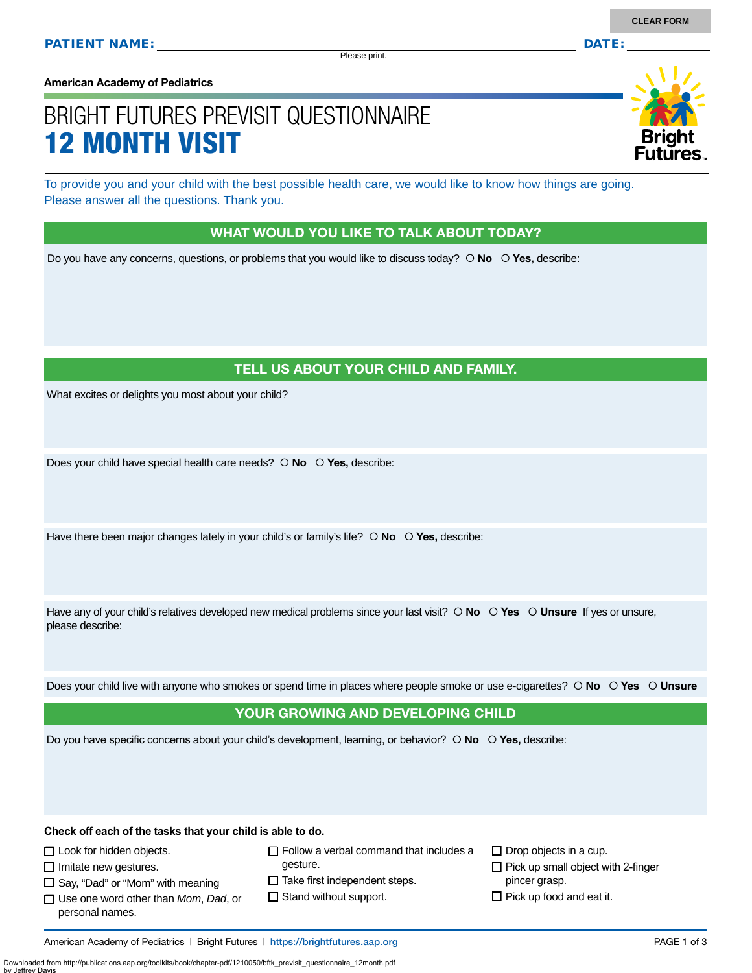Please print.

**American Academy of Pediatrics**

# BRIGHT FUTURES PREVISIT QUESTIONNAIRE 12 MONTH VISIT

To provide you and your child with the best possible health care, we would like to know how things are going. Please answer all the questions. Thank you.

#### WHAT WOULD YOU LIKE TO TALK ABOUT TODAY?

Do you have any concerns, questions, or problems that you would like to discuss today?  $\circ$  **No**  $\circ$  **Yes**, describe:

### TELL US ABOUT YOUR CHILD AND FAMILY.

What excites or delights you most about your child?

Does your child have special health care needs?  $\circ$  **No**  $\circ$  **Yes**, describe:

Have there been major changes lately in your child's or family's life?  $\circ$  No  $\circ$  Yes, describe:

Have any of your child's relatives developed new medical problems since your last visit?  $\circ$  **No**  $\circ$  **Yes**  $\circ$  **Unsure** If yes or unsure, please describe:

Does your child live with anyone who smokes or spend time in places where people smoke or use e-cigarettes?  **No Yes Unsure**

#### YOUR GROWING AND DEVELOPING CHILD

Do you have specific concerns about your child's development, learning, or behavior?  $\circ$  **No**  $\circ$  **Yes**, describe:

**Check off each of the tasks that your child is able to do.**

□ Look for hidden objects.

 $\Box$  Imitate new gestures.

 $\square$  Say, "Dad" or "Mom" with meaning

- Use one word other than *Mom*, *Dad*, or personal names.
- gesture.

 $\Box$  Follow a verbal command that includes a

 $\Box$  Take first independent steps.

 $\Box$  Stand without support.

 $\Box$  Drop objects in a cup.  $\Box$  Pick up small object with 2-finger pincer grasp.  $\Box$  Pick up food and eat it.

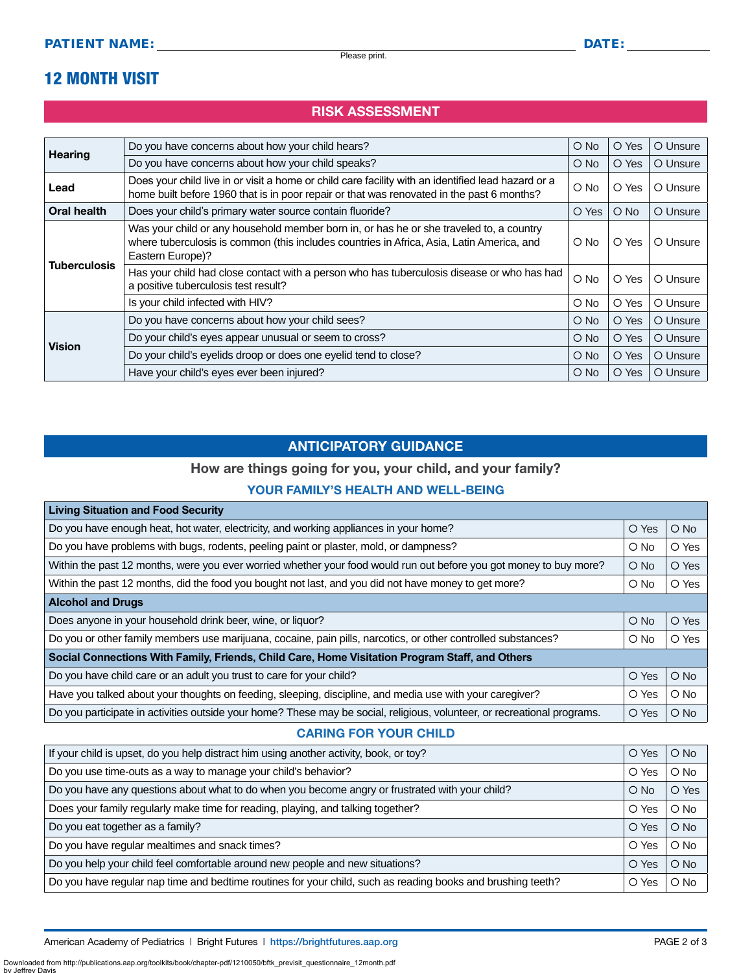# 12 MONTH VISIT

## RISK ASSESSMENT

| <b>Hearing</b>      | Do you have concerns about how your child hears?                                                                                                                                                         | $\bigcirc$ No | O Yes         | O Unsure |
|---------------------|----------------------------------------------------------------------------------------------------------------------------------------------------------------------------------------------------------|---------------|---------------|----------|
|                     | Do you have concerns about how your child speaks?                                                                                                                                                        | $\bigcirc$ No | O Yes         | O Unsure |
| Lead                | Does your child live in or visit a home or child care facility with an identified lead hazard or a<br>home built before 1960 that is in poor repair or that was renovated in the past 6 months?          | $\bigcirc$ No | O Yes         | O Unsure |
| Oral health         | Does your child's primary water source contain fluoride?                                                                                                                                                 | O Yes         | $\bigcirc$ No | O Unsure |
| <b>Tuberculosis</b> | Was your child or any household member born in, or has he or she traveled to, a country<br>where tuberculosis is common (this includes countries in Africa, Asia, Latin America, and<br>Eastern Europe)? | O No          | O Yes         | O Unsure |
|                     | Has your child had close contact with a person who has tuberculosis disease or who has had<br>a positive tuberculosis test result?                                                                       | $\circ$ No    | O Yes         | O Unsure |
|                     | Is your child infected with HIV?                                                                                                                                                                         | O No          | O Yes         | O Unsure |
| <b>Vision</b>       | Do you have concerns about how your child sees?                                                                                                                                                          | $O$ No        | O Yes         | O Unsure |
|                     | Do your child's eyes appear unusual or seem to cross?                                                                                                                                                    | O No          | O Yes         | O Unsure |
|                     | Do your child's eyelids droop or does one eyelid tend to close?                                                                                                                                          | $O$ No        | O Yes         | O Unsure |
|                     | Have your child's eyes ever been injured?                                                                                                                                                                | O No          | O Yes         | O Unsure |

### ANTICIPATORY GUIDANCE

## How are things going for you, your child, and your family?

#### YOUR FAMILY'S HEALTH AND WELL-BEING

| <b>Living Situation and Food Security</b>                                                                                |        |               |  |
|--------------------------------------------------------------------------------------------------------------------------|--------|---------------|--|
| Do you have enough heat, hot water, electricity, and working appliances in your home?                                    |        | $O$ No        |  |
| Do you have problems with bugs, rodents, peeling paint or plaster, mold, or dampness?                                    |        | O Yes         |  |
| Within the past 12 months, were you ever worried whether your food would run out before you got money to buy more?       |        | O Yes         |  |
| Within the past 12 months, did the food you bought not last, and you did not have money to get more?                     |        | O Yes         |  |
| <b>Alcohol and Drugs</b>                                                                                                 |        |               |  |
| Does anyone in your household drink beer, wine, or liquor?                                                               | $O$ No | O Yes         |  |
| Do you or other family members use marijuana, cocaine, pain pills, narcotics, or other controlled substances?            |        | O Yes         |  |
| Social Connections With Family, Friends, Child Care, Home Visitation Program Staff, and Others                           |        |               |  |
| Do you have child care or an adult you trust to care for your child?                                                     | O Yes  | $O$ No        |  |
| Have you talked about your thoughts on feeding, sleeping, discipline, and media use with your caregiver?                 |        | O No          |  |
| Do you participate in activities outside your home? These may be social, religious, volunteer, or recreational programs. |        | $\bigcirc$ No |  |

#### CARING FOR YOUR CHILD

| If your child is upset, do you help distract him using another activity, book, or toy?                      |  | $O$ No |
|-------------------------------------------------------------------------------------------------------------|--|--------|
| Do you use time-outs as a way to manage your child's behavior?                                              |  | $O$ No |
| Do you have any questions about what to do when you become angry or frustrated with your child?             |  | O Yes  |
| Does your family regularly make time for reading, playing, and talking together?                            |  | $O$ No |
| Do you eat together as a family?                                                                            |  | $O$ No |
| Do you have regular mealtimes and snack times?                                                              |  | $O$ No |
| Do you help your child feel comfortable around new people and new situations?                               |  | $O$ No |
| Do you have regular nap time and bedtime routines for your child, such as reading books and brushing teeth? |  | $O$ No |